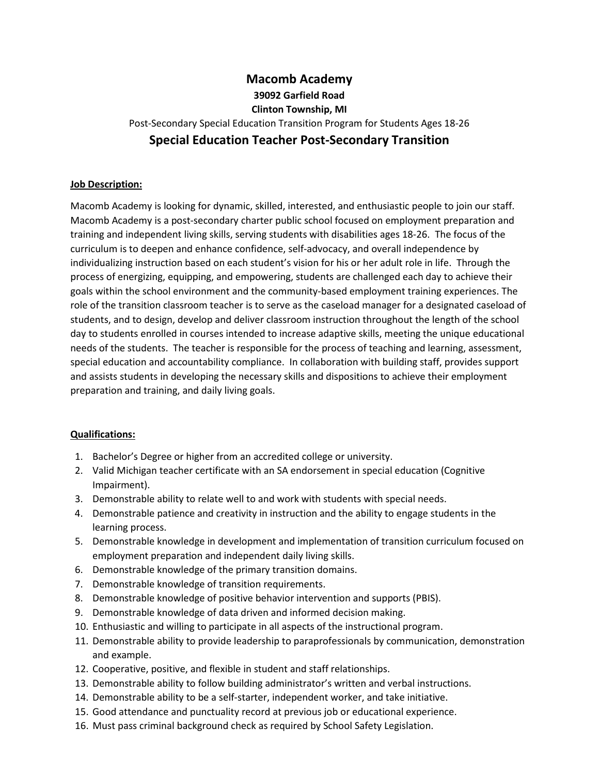# **Macomb Academy 39092 Garfield Road Clinton Township, MI** Post-Secondary Special Education Transition Program for Students Ages 18-26 **Special Education Teacher Post-Secondary Transition**

## **Job Description:**

Macomb Academy is looking for dynamic, skilled, interested, and enthusiastic people to join our staff. Macomb Academy is a post-secondary charter public school focused on employment preparation and training and independent living skills, serving students with disabilities ages 18-26. The focus of the curriculum is to deepen and enhance confidence, self-advocacy, and overall independence by individualizing instruction based on each student's vision for his or her adult role in life. Through the process of energizing, equipping, and empowering, students are challenged each day to achieve their goals within the school environment and the community-based employment training experiences. The role of the transition classroom teacher is to serve as the caseload manager for a designated caseload of students, and to design, develop and deliver classroom instruction throughout the length of the school day to students enrolled in courses intended to increase adaptive skills, meeting the unique educational needs of the students. The teacher is responsible for the process of teaching and learning, assessment, special education and accountability compliance. In collaboration with building staff, provides support and assists students in developing the necessary skills and dispositions to achieve their employment preparation and training, and daily living goals.

#### **Qualifications:**

- 1. Bachelor's Degree or higher from an accredited college or university.
- 2. Valid Michigan teacher certificate with an SA endorsement in special education (Cognitive Impairment).
- 3. Demonstrable ability to relate well to and work with students with special needs.
- 4. Demonstrable patience and creativity in instruction and the ability to engage students in the learning process.
- 5. Demonstrable knowledge in development and implementation of transition curriculum focused on employment preparation and independent daily living skills.
- 6. Demonstrable knowledge of the primary transition domains.
- 7. Demonstrable knowledge of transition requirements.
- 8. Demonstrable knowledge of positive behavior intervention and supports (PBIS).
- 9. Demonstrable knowledge of data driven and informed decision making.
- 10. Enthusiastic and willing to participate in all aspects of the instructional program.
- 11. Demonstrable ability to provide leadership to paraprofessionals by communication, demonstration and example.
- 12. Cooperative, positive, and flexible in student and staff relationships.
- 13. Demonstrable ability to follow building administrator's written and verbal instructions.
- 14. Demonstrable ability to be a self-starter, independent worker, and take initiative.
- 15. Good attendance and punctuality record at previous job or educational experience.
- 16. Must pass criminal background check as required by School Safety Legislation.